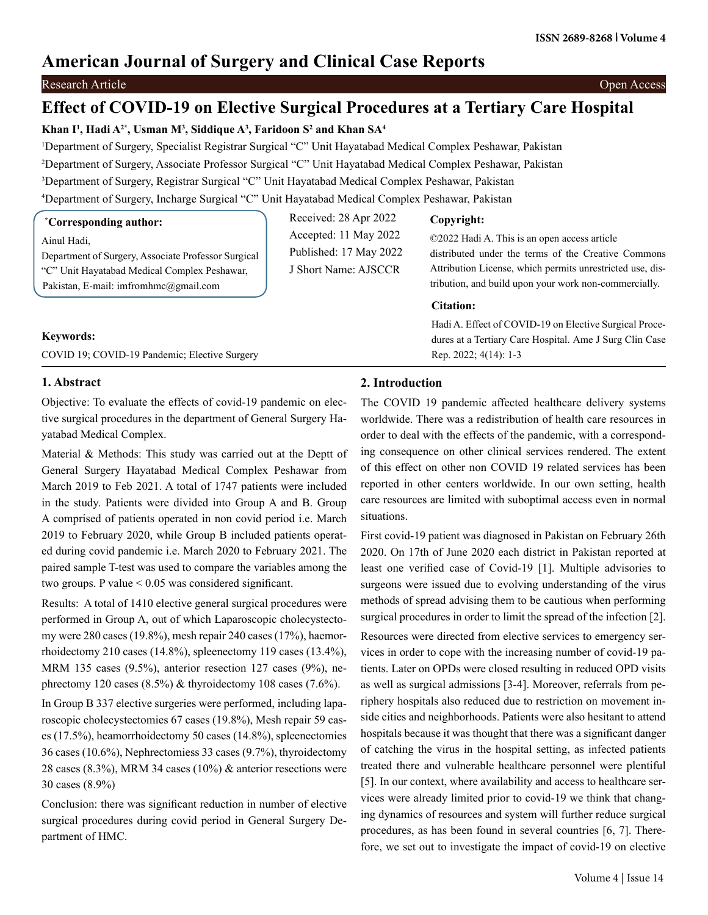## **American Journal of Surgery and Clinical Case Reports**

## Research Article Open Access

# **Effect of COVID-19 on Elective Surgical Procedures at a Tertiary Care Hospital**

## **Khan I1 , Hadi A2\*, Usman M3 , Siddique A3 , Faridoon S2 and Khan SA4**

 Department of Surgery, Specialist Registrar Surgical "C" Unit Hayatabad Medical Complex Peshawar, Pakistan Department of Surgery, Associate Professor Surgical "C" Unit Hayatabad Medical Complex Peshawar, Pakistan Department of Surgery, Registrar Surgical "C" Unit Hayatabad Medical Complex Peshawar, Pakistan Department of Surgery, Incharge Surgical "C" Unit Hayatabad Medical Complex Peshawar, Pakistan

| <i>*Corresponding author:</i>                                                                       | Received: 28 Apr 2022                           | Copyright:                                                                                                       |
|-----------------------------------------------------------------------------------------------------|-------------------------------------------------|------------------------------------------------------------------------------------------------------------------|
| Ainul Hadi,                                                                                         | Accepted: 11 May 2022<br>Published: 17 May 2022 | ©2022 Hadi A. This is an open access article                                                                     |
| Department of Surgery, Associate Professor Surgical<br>"C" Unit Havatabad Medical Complex Peshawar, | J Short Name: AJSCCR                            | distributed under the terms of the Creative Commons<br>Attribution License, which permits unrestricted use, dis- |
| Pakistan, E-mail: imfromhmc@gmail.com                                                               |                                                 | tribution, and build upon your work non-commercially.                                                            |
|                                                                                                     |                                                 | <b>Citation:</b>                                                                                                 |
|                                                                                                     |                                                 | Hadi A. Effect of COVID-19 on Elective Surgical Proce-                                                           |
| <b>Keywords:</b>                                                                                    |                                                 | dures at a Tertiary Care Hospital. Ame J Surg Clin Case                                                          |
| COVID 19: COVID-19 Pandemic: Elective Surgery                                                       |                                                 | Rep. $2022$ ; $4(14)$ : 1-3                                                                                      |

## **1. Abstract**

Objective: To evaluate the effects of covid-19 pandemic on elective surgical procedures in the department of General Surgery Hayatabad Medical Complex.

Material & Methods: This study was carried out at the Deptt of General Surgery Hayatabad Medical Complex Peshawar from March 2019 to Feb 2021. A total of 1747 patients were included in the study. Patients were divided into Group A and B. Group A comprised of patients operated in non covid period i.e. March 2019 to February 2020, while Group B included patients operated during covid pandemic i.e. March 2020 to February 2021. The paired sample T-test was used to compare the variables among the two groups. P value < 0.05 was considered significant.

Results: A total of 1410 elective general surgical procedures were performed in Group A, out of which Laparoscopic cholecystectomy were 280 cases (19.8%), mesh repair 240 cases (17%), haemorrhoidectomy 210 cases (14.8%), spleenectomy 119 cases (13.4%), MRM 135 cases (9.5%), anterior resection 127 cases (9%), nephrectomy 120 cases (8.5%) & thyroidectomy 108 cases (7.6%).

In Group B 337 elective surgeries were performed, including laparoscopic cholecystectomies 67 cases (19.8%), Mesh repair 59 cases (17.5%), heamorrhoidectomy 50 cases (14.8%), spleenectomies 36 cases (10.6%), Nephrectomiess 33 cases (9.7%), thyroidectomy 28 cases (8.3%), MRM 34 cases (10%)  $\&$  anterior resections were 30 cases (8.9%)

Conclusion: there was significant reduction in number of elective surgical procedures during covid period in General Surgery Department of HMC.

## **2. Introduction**

The COVID 19 pandemic affected healthcare delivery systems worldwide. There was a redistribution of health care resources in order to deal with the effects of the pandemic, with a corresponding consequence on other clinical services rendered. The extent of this effect on other non COVID 19 related services has been reported in other centers worldwide. In our own setting, health care resources are limited with suboptimal access even in normal situations.

First covid-19 patient was diagnosed in Pakistan on February 26th 2020. On 17th of June 2020 each district in Pakistan reported at least one verified case of Covid-19 [1]. Multiple advisories to surgeons were issued due to evolving understanding of the virus methods of spread advising them to be cautious when performing surgical procedures in order to limit the spread of the infection [2].

Resources were directed from elective services to emergency services in order to cope with the increasing number of covid-19 patients. Later on OPDs were closed resulting in reduced OPD visits as well as surgical admissions [3-4]. Moreover, referrals from periphery hospitals also reduced due to restriction on movement inside cities and neighborhoods. Patients were also hesitant to attend hospitals because it was thought that there was a significant danger of catching the virus in the hospital setting, as infected patients treated there and vulnerable healthcare personnel were plentiful [5]. In our context, where availability and access to healthcare services were already limited prior to covid-19 we think that changing dynamics of resources and system will further reduce surgical procedures, as has been found in several countries [6, 7]. Therefore, we set out to investigate the impact of covid-19 on elective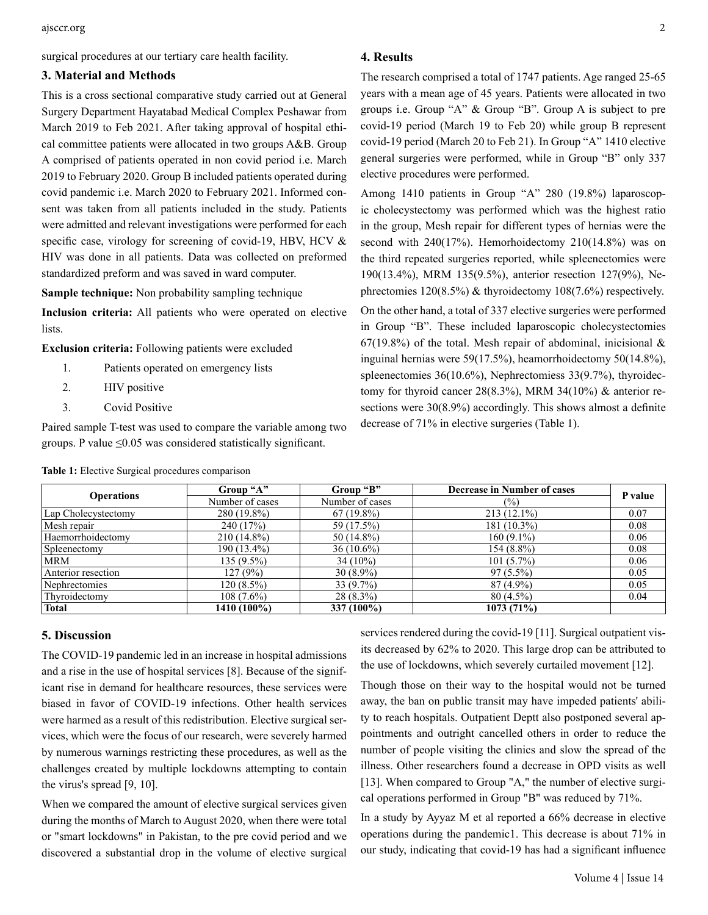surgical procedures at our tertiary care health facility.

#### **3. Material and Methods**

This is a cross sectional comparative study carried out at General Surgery Department Hayatabad Medical Complex Peshawar from March 2019 to Feb 2021. After taking approval of hospital ethical committee patients were allocated in two groups A&B. Group A comprised of patients operated in non covid period i.e. March 2019 to February 2020. Group B included patients operated during covid pandemic i.e. March 2020 to February 2021. Informed consent was taken from all patients included in the study. Patients were admitted and relevant investigations were performed for each specific case, virology for screening of covid-19, HBV, HCV & HIV was done in all patients. Data was collected on preformed standardized preform and was saved in ward computer.

**Sample technique:** Non probability sampling technique

**Inclusion criteria:** All patients who were operated on elective lists.

**Exclusion criteria:** Following patients were excluded

- 1. Patients operated on emergency lists
- 2. **HIV** positive
- 3. Covid Positive

Paired sample T-test was used to compare the variable among two groups. P value  $\leq 0.05$  was considered statistically significant.

| <b>Operations</b>   | Group "A"       | Group "B"       | <b>Decrease in Number of cases</b> | P value |
|---------------------|-----------------|-----------------|------------------------------------|---------|
|                     | Number of cases | Number of cases | (9/0)                              |         |
| Lap Cholecystectomy | $280(19.8\%)$   | $67(19.8\%)$    | $213(12.1\%)$                      | 0.07    |
| Mesh repair         | 240 (17%)       | 59 (17.5%)      | $181(10.3\%)$                      | 0.08    |
| Haemorrhoidectomy   | $210(14.8\%)$   | $50(14.8\%)$    | $160(9.1\%)$                       | 0.06    |
| Spleenectomy        | $190(13.4\%)$   | $36(10.6\%)$    | $154(8.8\%)$                       | 0.08    |
| <b>MRM</b>          | $135(9.5\%)$    | $34(10\%)$      | $101(5.7\%)$                       | 0.06    |
| Anterior resection  | 127(9%)         | $30(8.9\%)$     | $97(5.5\%)$                        | 0.05    |
| Nephrectomies       | $120(8.5\%)$    | $33(9.7\%)$     | $87(4.9\%)$                        | 0.05    |
| Thyroidectomy       | $108(7.6\%)$    | $28(8.3\%)$     | $80(4.5\%)$                        | 0.04    |
| <b>Total</b>        | 1410 (100%)     | 337 (100%)      | 1073(71%)                          |         |

#### **Table 1:** Elective Surgical procedures comparison

### **5. Discussion**

The COVID-19 pandemic led in an increase in hospital admissions and a rise in the use of hospital services [8]. Because of the significant rise in demand for healthcare resources, these services were biased in favor of COVID-19 infections. Other health services were harmed as a result of this redistribution. Elective surgical services, which were the focus of our research, were severely harmed by numerous warnings restricting these procedures, as well as the challenges created by multiple lockdowns attempting to contain the virus's spread [9, 10].

When we compared the amount of elective surgical services given during the months of March to August 2020, when there were total or "smart lockdowns" in Pakistan, to the pre covid period and we discovered a substantial drop in the volume of elective surgical The research comprised a total of 1747 patients. Age ranged 25-65 years with a mean age of 45 years. Patients were allocated in two groups i.e. Group "A" & Group "B". Group A is subject to pre covid-19 period (March 19 to Feb 20) while group B represent covid-19 period (March 20 to Feb 21). In Group "A" 1410 elective general surgeries were performed, while in Group "B" only 337 elective procedures were performed.

Among 1410 patients in Group "A" 280 (19.8%) laparoscopic cholecystectomy was performed which was the highest ratio in the group, Mesh repair for different types of hernias were the second with 240(17%). Hemorhoidectomy 210(14.8%) was on the third repeated surgeries reported, while spleenectomies were 190(13.4%), MRM 135(9.5%), anterior resection 127(9%), Nephrectomies 120(8.5%) & thyroidectomy 108(7.6%) respectively.

On the other hand, a total of 337 elective surgeries were performed in Group "B". These included laparoscopic cholecystectomies 67(19.8%) of the total. Mesh repair of abdominal, inicisional  $\&$ inguinal hernias were 59(17.5%), heamorrhoidectomy 50(14.8%), spleenectomies 36(10.6%), Nephrectomiess 33(9.7%), thyroidectomy for thyroid cancer 28(8.3%), MRM 34(10%) & anterior resections were 30(8.9%) accordingly. This shows almost a definite decrease of 71% in elective surgeries (Table 1).

services rendered during the covid-19 [11]. Surgical outpatient visits decreased by 62% to 2020. This large drop can be attributed to the use of lockdowns, which severely curtailed movement [12].

Though those on their way to the hospital would not be turned away, the ban on public transit may have impeded patients' ability to reach hospitals. Outpatient Deptt also postponed several appointments and outright cancelled others in order to reduce the number of people visiting the clinics and slow the spread of the illness. Other researchers found a decrease in OPD visits as well [13]. When compared to Group "A," the number of elective surgical operations performed in Group "B" was reduced by 71%.

In a study by Ayyaz M et al reported a 66% decrease in elective operations during the pandemic1. This decrease is about 71% in our study, indicating that covid-19 has had a significant influence